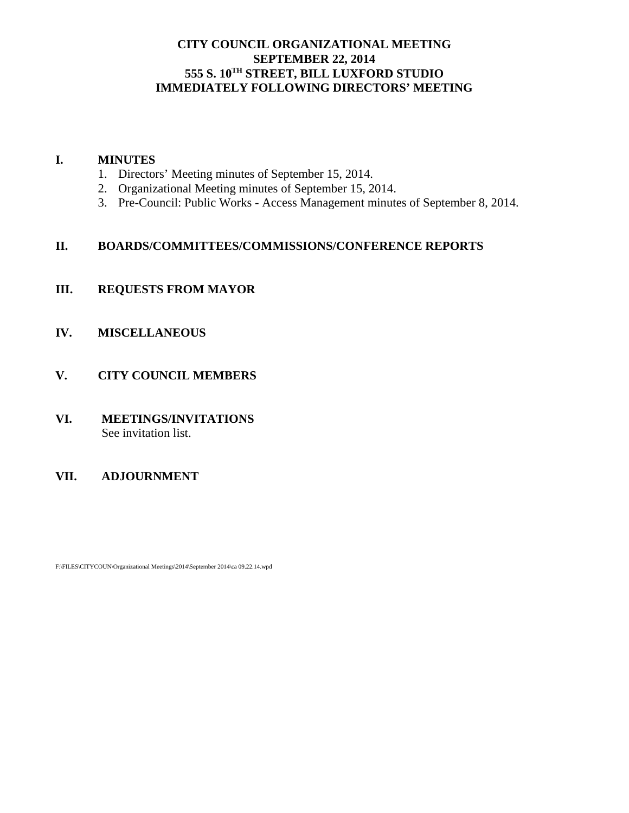## **CITY COUNCIL ORGANIZATIONAL MEETING SEPTEMBER 22, 2014 555 S. 10TH STREET, BILL LUXFORD STUDIO IMMEDIATELY FOLLOWING DIRECTORS' MEETING**

## **I. MINUTES**

- 1. Directors' Meeting minutes of September 15, 2014.
- 2. Organizational Meeting minutes of September 15, 2014.
- 3. Pre-Council: Public Works Access Management minutes of September 8, 2014.

## **II. BOARDS/COMMITTEES/COMMISSIONS/CONFERENCE REPORTS**

# **III. REQUESTS FROM MAYOR**

- **IV. MISCELLANEOUS**
- **V. CITY COUNCIL MEMBERS**
- **VI. MEETINGS/INVITATIONS** See invitation list.

## **VII. ADJOURNMENT**

F:\FILES\CITYCOUN\Organizational Meetings\2014\September 2014\ca 09.22.14.wpd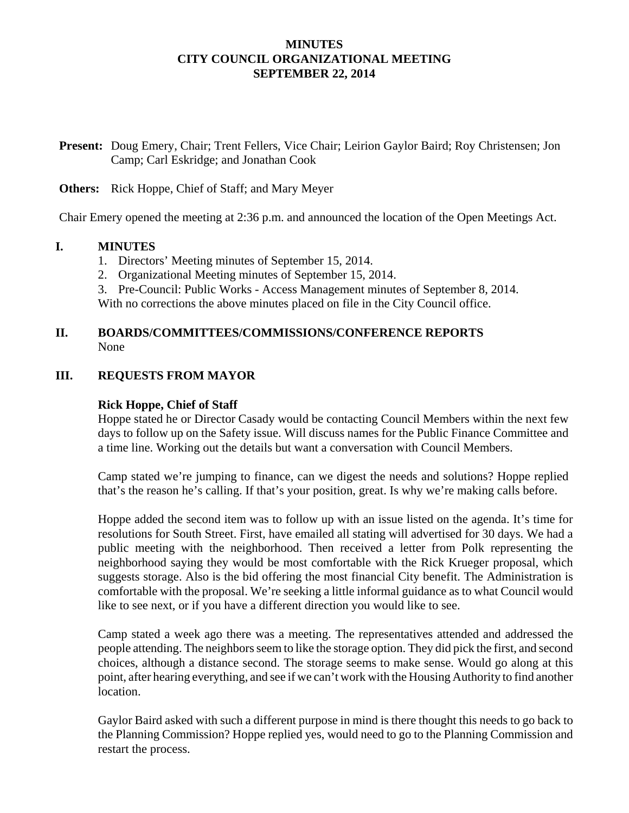## **MINUTES CITY COUNCIL ORGANIZATIONAL MEETING SEPTEMBER 22, 2014**

**Present:** Doug Emery, Chair; Trent Fellers, Vice Chair; Leirion Gaylor Baird; Roy Christensen; Jon Camp; Carl Eskridge; and Jonathan Cook

### **Others:** Rick Hoppe, Chief of Staff; and Mary Meyer

Chair Emery opened the meeting at 2:36 p.m. and announced the location of the Open Meetings Act.

#### **I. MINUTES**

- 1. Directors' Meeting minutes of September 15, 2014.
- 2. Organizational Meeting minutes of September 15, 2014.
- 3. Pre-Council: Public Works Access Management minutes of September 8, 2014.

With no corrections the above minutes placed on file in the City Council office.

## **II. BOARDS/COMMITTEES/COMMISSIONS/CONFERENCE REPORTS** None

## **III. REQUESTS FROM MAYOR**

## **Rick Hoppe, Chief of Staff**

Hoppe stated he or Director Casady would be contacting Council Members within the next few days to follow up on the Safety issue. Will discuss names for the Public Finance Committee and a time line. Working out the details but want a conversation with Council Members.

Camp stated we're jumping to finance, can we digest the needs and solutions? Hoppe replied that's the reason he's calling. If that's your position, great. Is why we're making calls before.

Hoppe added the second item was to follow up with an issue listed on the agenda. It's time for resolutions for South Street. First, have emailed all stating will advertised for 30 days. We had a public meeting with the neighborhood. Then received a letter from Polk representing the neighborhood saying they would be most comfortable with the Rick Krueger proposal, which suggests storage. Also is the bid offering the most financial City benefit. The Administration is comfortable with the proposal. We're seeking a little informal guidance as to what Council would like to see next, or if you have a different direction you would like to see.

Camp stated a week ago there was a meeting. The representatives attended and addressed the people attending. The neighbors seem to like the storage option. They did pick the first, and second choices, although a distance second. The storage seems to make sense. Would go along at this point, after hearing everything, and see if we can't work with the Housing Authority to find another location.

Gaylor Baird asked with such a different purpose in mind is there thought this needs to go back to the Planning Commission? Hoppe replied yes, would need to go to the Planning Commission and restart the process.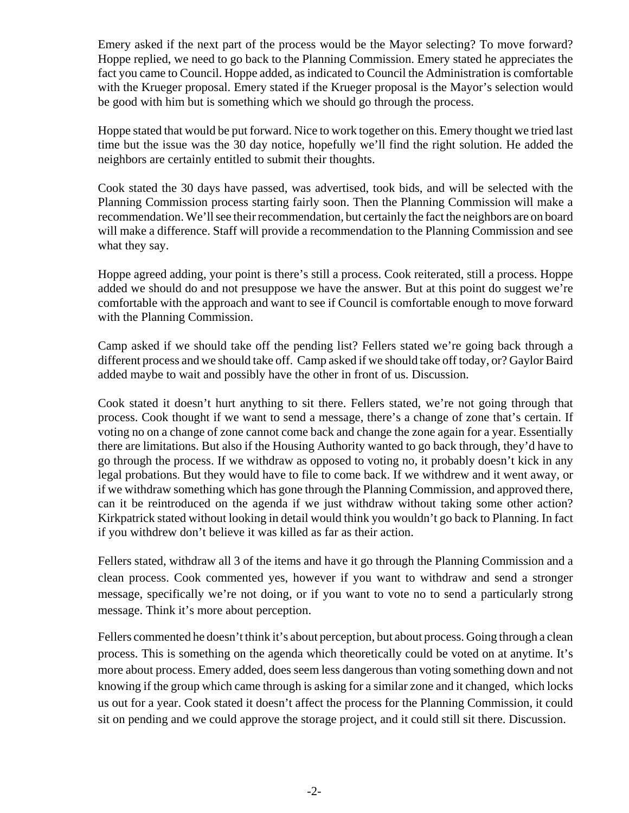Emery asked if the next part of the process would be the Mayor selecting? To move forward? Hoppe replied, we need to go back to the Planning Commission. Emery stated he appreciates the fact you came to Council. Hoppe added, as indicated to Council the Administration is comfortable with the Krueger proposal. Emery stated if the Krueger proposal is the Mayor's selection would be good with him but is something which we should go through the process.

Hoppe stated that would be put forward. Nice to work together on this. Emery thought we tried last time but the issue was the 30 day notice, hopefully we'll find the right solution. He added the neighbors are certainly entitled to submit their thoughts.

Cook stated the 30 days have passed, was advertised, took bids, and will be selected with the Planning Commission process starting fairly soon. Then the Planning Commission will make a recommendation. We'll see their recommendation, but certainly the fact the neighbors are on board will make a difference. Staff will provide a recommendation to the Planning Commission and see what they say.

Hoppe agreed adding, your point is there's still a process. Cook reiterated, still a process. Hoppe added we should do and not presuppose we have the answer. But at this point do suggest we're comfortable with the approach and want to see if Council is comfortable enough to move forward with the Planning Commission.

Camp asked if we should take off the pending list? Fellers stated we're going back through a different process and we should take off. Camp asked if we should take off today, or? Gaylor Baird added maybe to wait and possibly have the other in front of us. Discussion.

Cook stated it doesn't hurt anything to sit there. Fellers stated, we're not going through that process. Cook thought if we want to send a message, there's a change of zone that's certain. If voting no on a change of zone cannot come back and change the zone again for a year. Essentially there are limitations. But also if the Housing Authority wanted to go back through, they'd have to go through the process. If we withdraw as opposed to voting no, it probably doesn't kick in any legal probations. But they would have to file to come back. If we withdrew and it went away, or if we withdraw something which has gone through the Planning Commission, and approved there, can it be reintroduced on the agenda if we just withdraw without taking some other action? Kirkpatrick stated without looking in detail would think you wouldn't go back to Planning. In fact if you withdrew don't believe it was killed as far as their action.

Fellers stated, withdraw all 3 of the items and have it go through the Planning Commission and a clean process. Cook commented yes, however if you want to withdraw and send a stronger message, specifically we're not doing, or if you want to vote no to send a particularly strong message. Think it's more about perception.

Fellers commented he doesn't think it's about perception, but about process. Going through a clean process. This is something on the agenda which theoretically could be voted on at anytime. It's more about process. Emery added, does seem less dangerous than voting something down and not knowing if the group which came through is asking for a similar zone and it changed, which locks us out for a year. Cook stated it doesn't affect the process for the Planning Commission, it could sit on pending and we could approve the storage project, and it could still sit there. Discussion.